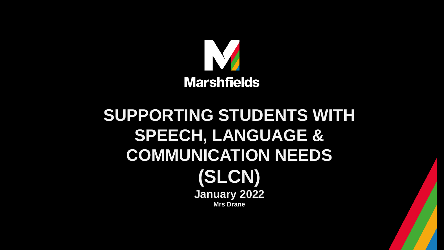

#### **SUPPORTING STUDENTS WITH SPEECH, LANGUAGE & COMMUNICATION NEEDS (SLCN) January 2022 Mrs Drane**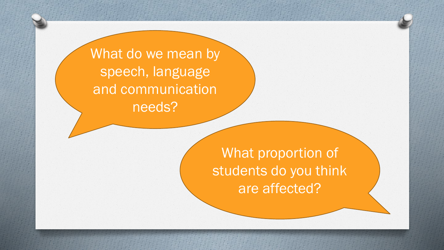What do we mean by speech, language and communication needs?

> What proportion of students do you think are affected?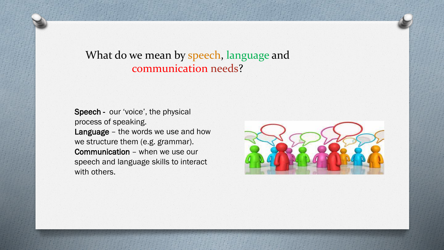What do we mean by speech, language and communication needs?

Speech - our 'voice', the physical process of speaking. Language – the words we use and how we structure them (e.g. grammar). Communication – when we use our speech and language skills to interact with others.

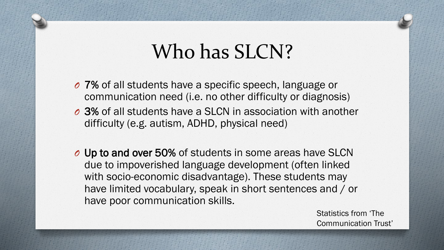#### Who has SLCN?

- *O* 7% of all students have a specific speech, language or communication need (i.e. no other difficulty or diagnosis)
- *O* 3% of all students have a SLCN in association with another difficulty (e.g. autism, ADHD, physical need)
- *O* Up to and over 50% of students in some areas have SLCN due to impoverished language development (often linked with socio-economic disadvantage). These students may have limited vocabulary, speak in short sentences and / or have poor communication skills.

Statistics from 'The Communication Trust'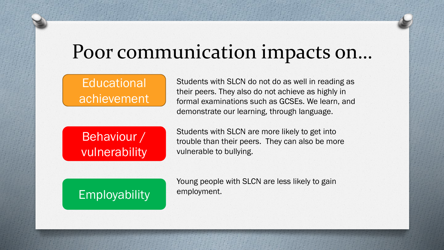#### Poor communication impacts on…

#### **Educational** achievement

Students with SLCN do not do as well in reading as their peers. They also do not achieve as highly in formal examinations such as GCSEs. We learn, and demonstrate our learning, through language.

Behaviour / vulnerability Students with SLCN are more likely to get into trouble than their peers. They can also be more vulnerable to bullying.

Employability

Young people with SLCN are less likely to gain employment.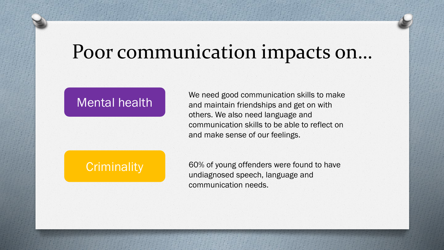#### Poor communication impacts on…

#### Mental health

We need good communication skills to make and maintain friendships and get on with others. We also need language and communication skills to be able to reflect on and make sense of our feelings.

#### **Criminality**

60% of young offenders were found to have undiagnosed speech, language and communication needs.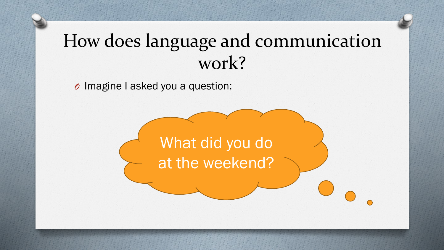#### How does language and communication work?

*O* Imagine I asked you a question:

What did you do at the weekend?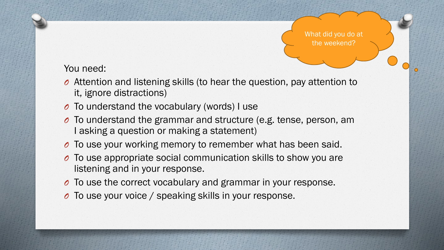What did you do at the weekend?

#### You need:

- *O* Attention and listening skills (to hear the question, pay attention to it, ignore distractions)
- *O* To understand the vocabulary (words) I use
- *O* To understand the grammar and structure (e.g. tense, person, am I asking a question or making a statement)
- *O* To use your working memory to remember what has been said.
- *O* To use appropriate social communication skills to show you are listening and in your response.
- *O* To use the correct vocabulary and grammar in your response.
- *O* To use your voice / speaking skills in your response.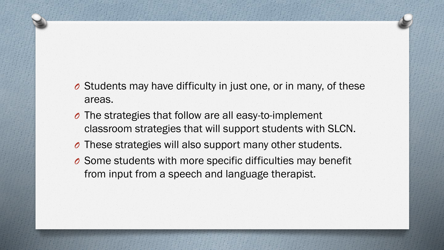- *O* Students may have difficulty in just one, or in many, of these areas.
- *O* The strategies that follow are all easy-to-implement classroom strategies that will support students with SLCN.
- *O* These strategies will also support many other students.
- *O* Some students with more specific difficulties may benefit from input from a speech and language therapist.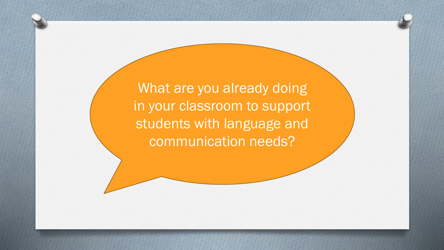What are you already doing in your classroom to support students with language and communication needs?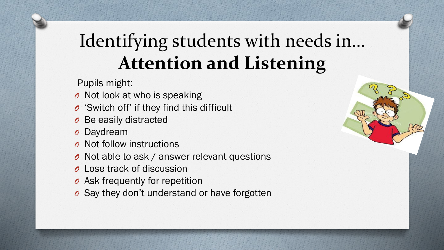#### Identifying students with needs in… **Attention and Listening**

Pupils might:

- *O* Not look at who is speaking
- *O* 'Switch off' if they find this difficult
- *O* Be easily distracted
- *O* Daydream
- *O* Not follow instructions
- *O* Not able to ask / answer relevant questions
- *O* Lose track of discussion
- *O* Ask frequently for repetition
- *O* Say they don't understand or have forgotten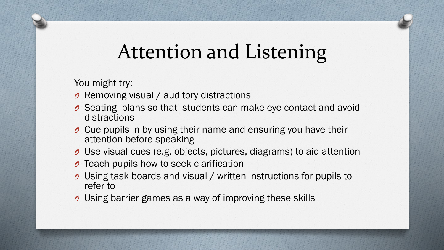## Attention and Listening

You might try:

- *O* Removing visual / auditory distractions
- *O* Seating plans so that students can make eye contact and avoid distractions
- *O* Cue pupils in by using their name and ensuring you have their attention before speaking
- *O* Use visual cues (e.g. objects, pictures, diagrams) to aid attention
- *O* Teach pupils how to seek clarification
- *O* Using task boards and visual / written instructions for pupils to refer to
- *O* Using barrier games as a way of improving these skills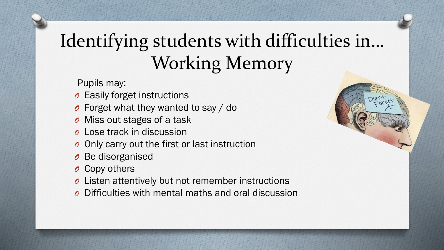### Identifying students with difficulties in… Working Memory

Pupils may:

- *O* Easily forget instructions
- *O* Forget what they wanted to say / do
- *O* Miss out stages of a task
- *O* Lose track in discussion
- *O* Only carry out the first or last instruction
- *O* Be disorganised
- *O* Copy others
- *O* Listen attentively but not remember instructions
- *O* Difficulties with mental maths and oral discussion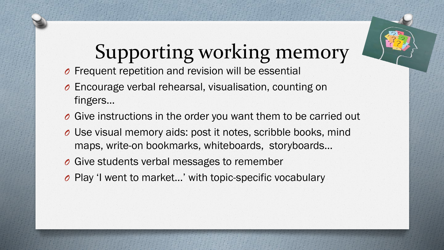

# Supporting working memory

- *O* Frequent repetition and revision will be essential
- *O* Encourage verbal rehearsal, visualisation, counting on fingers…
- *O* Give instructions in the order you want them to be carried out
- *O* Use visual memory aids: post it notes, scribble books, mind maps, write-on bookmarks, whiteboards, storyboards…
- *O* Give students verbal messages to remember
- *O* Play 'I went to market…' with topic-specific vocabulary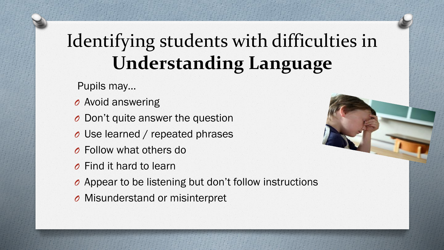## Identifying students with difficulties in **Understanding Language**

Pupils may…

- *O* Avoid answering
- *O* Don't quite answer the question
- *O* Use learned / repeated phrases
- *O* Follow what others do
- *O* Find it hard to learn
- *O* Appear to be listening but don't follow instructions
- *O* Misunderstand or misinterpret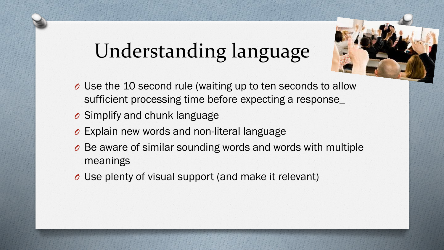# Understanding language

- *O* Use the 10 second rule (waiting up to ten seconds to allow sufficient processing time before expecting a response\_
- *O* Simplify and chunk language
- *O* Explain new words and non-literal language
- *O* Be aware of similar sounding words and words with multiple meanings
- *O* Use plenty of visual support (and make it relevant)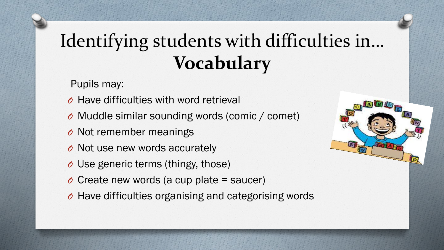## Identifying students with difficulties in… **Vocabulary**

Pupils may:

- *O* Have difficulties with word retrieval
- *O* Muddle similar sounding words (comic / comet)
- *O* Not remember meanings
- *O* Not use new words accurately
- *O* Use generic terms (thingy, those)
- *O* Create new words (a cup plate = saucer)
- *O* Have difficulties organising and categorising words

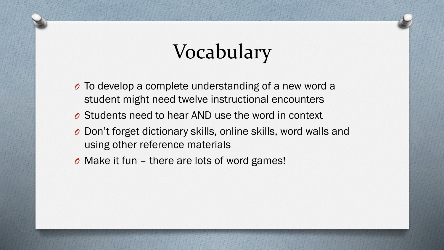# Vocabulary

- *O* To develop a complete understanding of a new word a student might need twelve instructional encounters
- *O* Students need to hear AND use the word in context
- *O* Don't forget dictionary skills, online skills, word walls and using other reference materials
- *O* Make it fun there are lots of word games!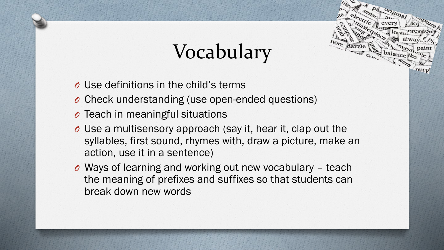# Vocabulary

pas original

- *O* Use definitions in the child's terms
- *O* Check understanding (use open-ended questions)
- *O* Teach in meaningful situations
- *O* Use a multisensory approach (say it, hear it, clap out the syllables, first sound, rhymes with, draw a picture, make an action, use it in a sentence)
- *O* Ways of learning and working out new vocabulary teach the meaning of prefixes and suffixes so that students can break down new words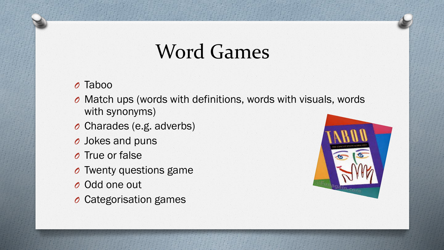### Word Games

#### *O* Taboo

- *O* Match ups (words with definitions, words with visuals, words with synonyms)
- *O* Charades (e.g. adverbs)
- *O* Jokes and puns
- *O* True or false
- *O* Twenty questions game
- *O* Odd one out
- *O* Categorisation games

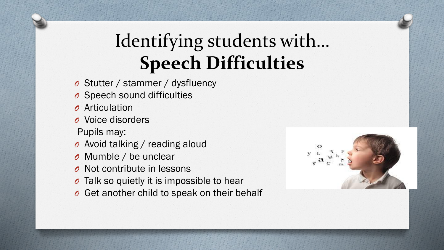### Identifying students with… **Speech Difficulties**

- *O* Stutter / stammer / dysfluency
- *O* Speech sound difficulties
- *O* Articulation
- *O* Voice disorders

Pupils may:

- *O* Avoid talking / reading aloud
- *O* Mumble / be unclear
- *O* Not contribute in lessons
- *O* Talk so quietly it is impossible to hear
- *O* Get another child to speak on their behalf

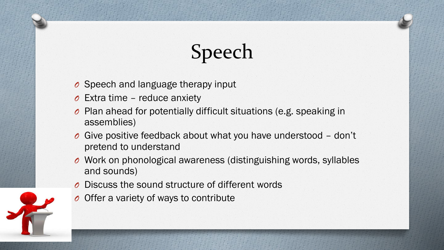# Speech

- *O* Speech and language therapy input
- *O* Extra time reduce anxiety
- *O* Plan ahead for potentially difficult situations (e.g. speaking in assemblies)
- *O* Give positive feedback about what you have understood don't pretend to understand
- *O* Work on phonological awareness (distinguishing words, syllables and sounds)
- *O* Discuss the sound structure of different words
- *O* Offer a variety of ways to contribute

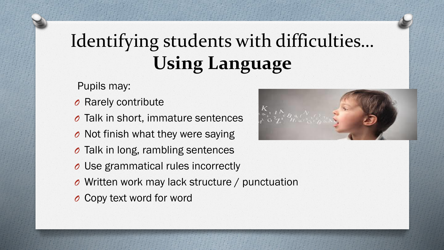## Identifying students with difficulties… **Using Language**

Pupils may:

- *O* Rarely contribute
- *O* Talk in short, immature sentences
- *O* Not finish what they were saying
- *O* Talk in long, rambling sentences
- *O* Use grammatical rules incorrectly
- *O* Written work may lack structure / punctuation
- *O* Copy text word for word

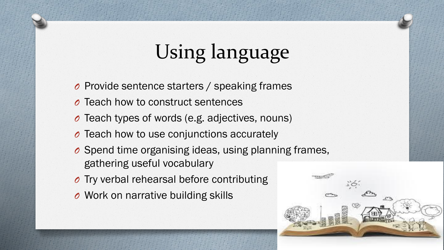# Using language

- *O* Provide sentence starters / speaking frames
- *O* Teach how to construct sentences
- *O* Teach types of words (e.g. adjectives, nouns)
- *O* Teach how to use conjunctions accurately
- *O* Spend time organising ideas, using planning frames, gathering useful vocabulary
- *O* Try verbal rehearsal before contributing
- *O* Work on narrative building skills

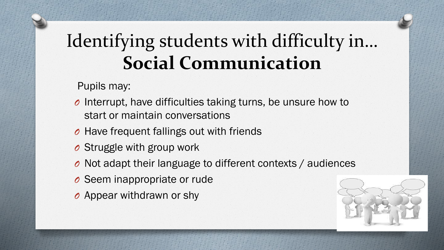#### Identifying students with difficulty in… **Social Communication**

Pupils may:

- *O* Interrupt, have difficulties taking turns, be unsure how to start or maintain conversations
- *O* Have frequent fallings out with friends
- *O* Struggle with group work
- *O* Not adapt their language to different contexts / audiences
- *O* Seem inappropriate or rude
- *O* Appear withdrawn or shy

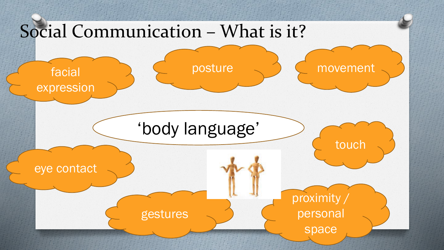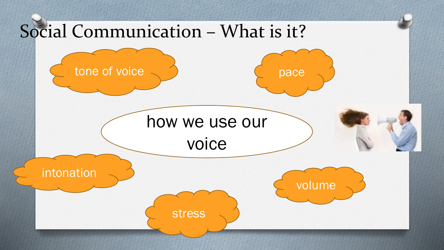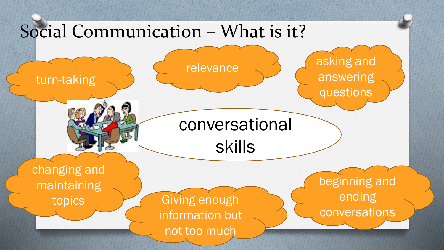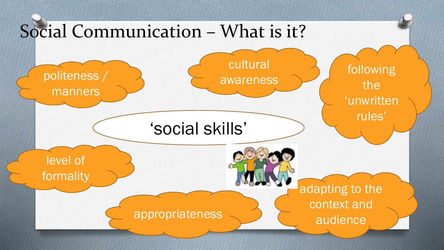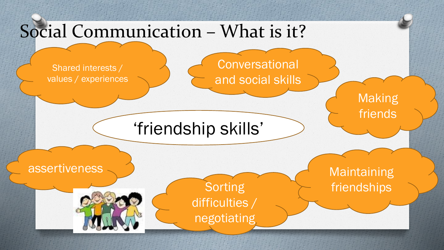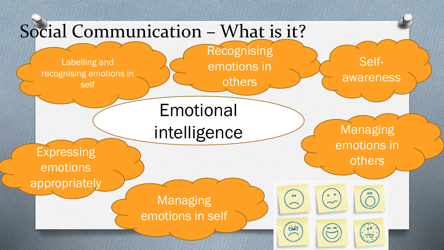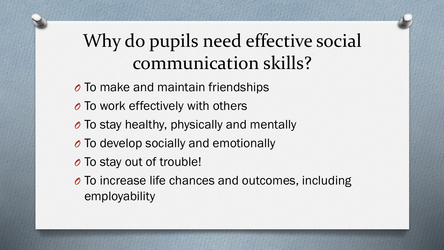### Why do pupils need effective social communication skills?

- *O* To make and maintain friendships *O* To work effectively with others *O* To stay healthy, physically and mentally *O* To develop socially and emotionally *O* To stay out of trouble! *O* To increase life chances and outcomes, including
	- employability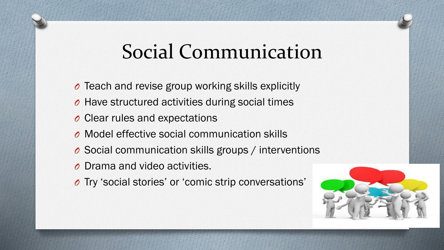### Social Communication

- *O* Teach and revise group working skills explicitly
- *O* Have structured activities during social times
- *O* Clear rules and expectations
- *O* Model effective social communication skills
- *O* Social communication skills groups / interventions
- *O* Drama and video activities.
- *O* Try 'social stories' or 'comic strip conversations'

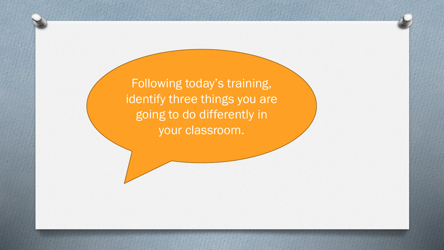Following today's training, identify three things you are going to do differently in your classroom.